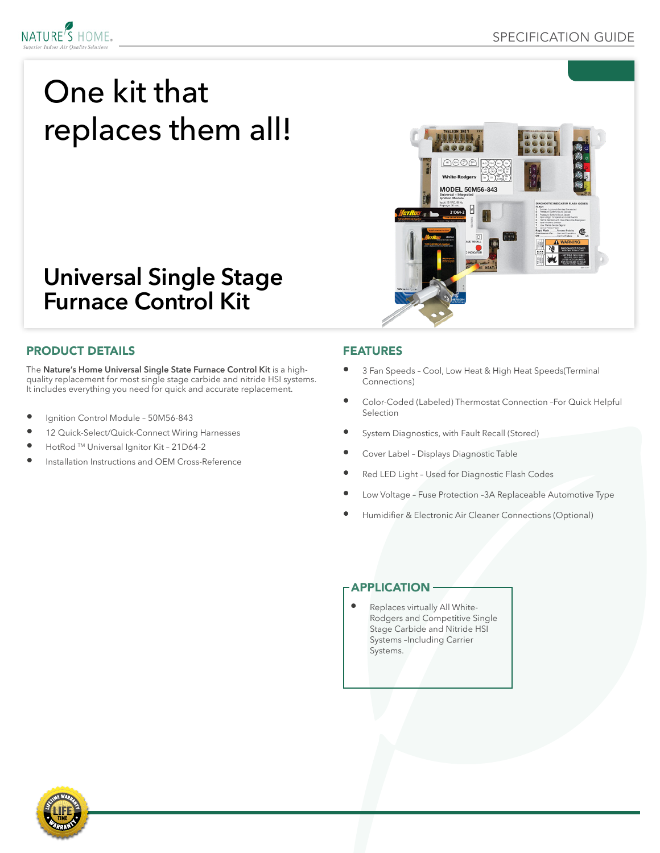

# One kit that replaces them all!



## **Universal Single Stage Furnace Control Kit**

#### PRODUCT DETAILS

The **Nature's Home Universal Single State Furnace Control Kit** is a highquality replacement for most single stage carbide and nitride HSI systems. It includes everything you need for quick and accurate replacement.

- Ignition Control Module 50M56-843
- 12 Quick-Select/Quick-Connect Wiring Harnesses
- HotRod TM Universal Ignitor Kit 21D64-2
- Installation Instructions and OEM Cross-Reference

#### FEATURES

- 3 Fan Speeds Cool, Low Heat & High Heat Speeds(Terminal Connections)
- Color-Coded (Labeled) Thermostat Connection –For Quick Helpful Selection
- System Diagnostics, with Fault Recall (Stored)
- Cover Label Displays Diagnostic Table
- Red LED Light Used for Diagnostic Flash Codes
- Low Voltage Fuse Protection –3A Replaceable Automotive Type
- Humidifier & Electronic Air Cleaner Connections (Optional)

#### **APPLICATION**

• Replaces virtually All White-Rodgers and Competitive Single Stage Carbide and Nitride HSI Systems –Including Carrier Systems.